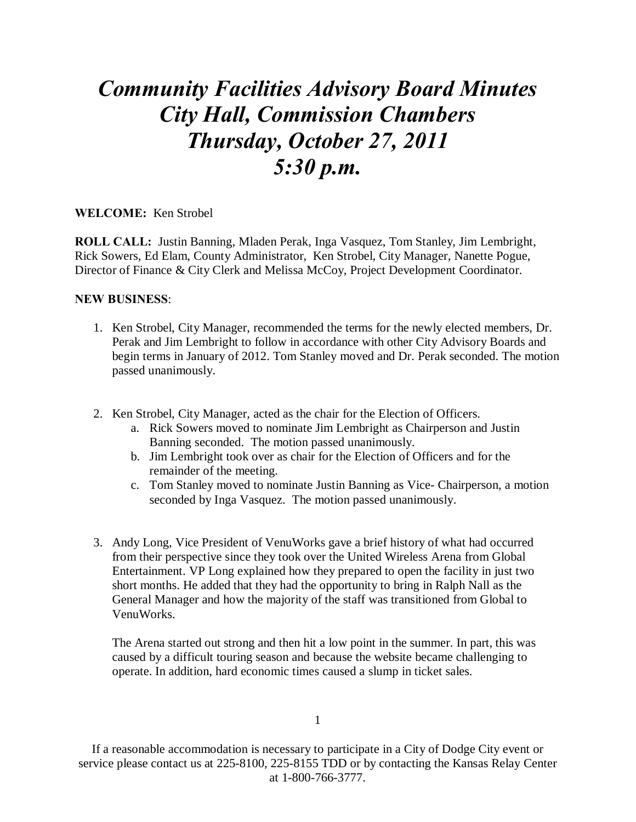## *Community Facilities Advisory Board Minutes City Hall, Commission Chambers Thursday, October 27, 2011 5:30 p.m.*

## **WELCOME:** Ken Strobel

**ROLL CALL:** Justin Banning, Mladen Perak, Inga Vasquez, Tom Stanley, Jim Lembright, Rick Sowers, Ed Elam, County Administrator, Ken Strobel, City Manager, Nanette Pogue, Director of Finance & City Clerk and Melissa McCoy, Project Development Coordinator.

## **NEW BUSINESS**:

- 1. Ken Strobel, City Manager, recommended the terms for the newly elected members, Dr. Perak and Jim Lembright to follow in accordance with other City Advisory Boards and begin terms in January of 2012. Tom Stanley moved and Dr. Perak seconded. The motion passed unanimously.
- 2. Ken Strobel, City Manager, acted as the chair for the Election of Officers.
	- a. Rick Sowers moved to nominate Jim Lembright as Chairperson and Justin Banning seconded. The motion passed unanimously.
	- b. Jim Lembright took over as chair for the Election of Officers and for the remainder of the meeting.
	- c. Tom Stanley moved to nominate Justin Banning as Vice- Chairperson, a motion seconded by Inga Vasquez. The motion passed unanimously.
- 3. Andy Long, Vice President of VenuWorks gave a brief history of what had occurred from their perspective since they took over the United Wireless Arena from Global Entertainment. VP Long explained how they prepared to open the facility in just two short months. He added that they had the opportunity to bring in Ralph Nall as the General Manager and how the majority of the staff was transitioned from Global to VenuWorks.

The Arena started out strong and then hit a low point in the summer. In part, this was caused by a difficult touring season and because the website became challenging to operate. In addition, hard economic times caused a slump in ticket sales.

1

If a reasonable accommodation is necessary to participate in a City of Dodge City event or service please contact us at 225-8100, 225-8155 TDD or by contacting the Kansas Relay Center at 1-800-766-3777.